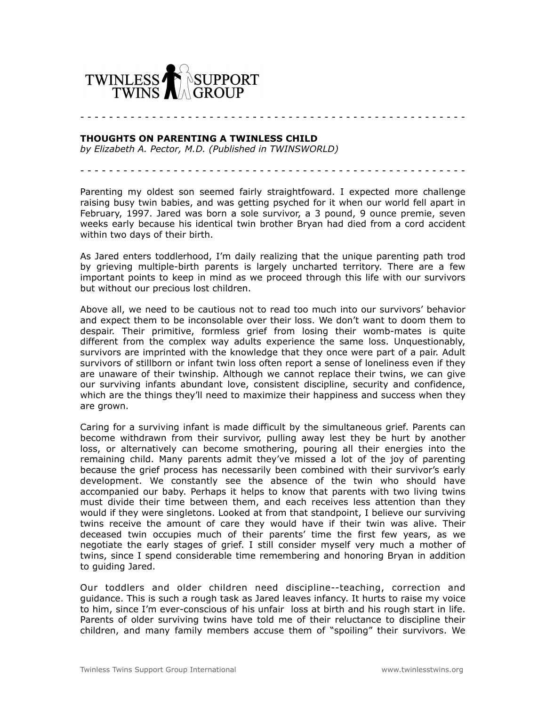

## **THOUGHTS ON PARENTING A TWINLESS CHILD**

*by Elizabeth A. Pector, M.D. (Published in TWINSWORLD)*

- - - - - - - - - - - - - - - - - - - - - - - - - - - - - - - - - - - - - - - - - - - - - - - - - - - - - -

- - - - - - - - - - - - - - - - - - - - - - - - - - - - - - - - - - - - - - - - - - - - - - - - - - - - - -

Parenting my oldest son seemed fairly straightfoward. I expected more challenge raising busy twin babies, and was getting psyched for it when our world fell apart in February, 1997. Jared was born a sole survivor, a 3 pound, 9 ounce premie, seven weeks early because his identical twin brother Bryan had died from a cord accident within two days of their birth.

As Jared enters toddlerhood, I'm daily realizing that the unique parenting path trod by grieving multiple-birth parents is largely uncharted territory. There are a few important points to keep in mind as we proceed through this life with our survivors but without our precious lost children.

Above all, we need to be cautious not to read too much into our survivors' behavior and expect them to be inconsolable over their loss. We don't want to doom them to despair. Their primitive, formless grief from losing their womb-mates is quite different from the complex way adults experience the same loss. Unquestionably, survivors are imprinted with the knowledge that they once were part of a pair. Adult survivors of stillborn or infant twin loss often report a sense of loneliness even if they are unaware of their twinship. Although we cannot replace their twins, we can give our surviving infants abundant love, consistent discipline, security and confidence, which are the things they'll need to maximize their happiness and success when they are grown.

Caring for a surviving infant is made difficult by the simultaneous grief. Parents can become withdrawn from their survivor, pulling away lest they be hurt by another loss, or alternatively can become smothering, pouring all their energies into the remaining child. Many parents admit they've missed a lot of the joy of parenting because the grief process has necessarily been combined with their survivor's early development. We constantly see the absence of the twin who should have accompanied our baby. Perhaps it helps to know that parents with two living twins must divide their time between them, and each receives less attention than they would if they were singletons. Looked at from that standpoint, I believe our surviving twins receive the amount of care they would have if their twin was alive. Their deceased twin occupies much of their parents' time the first few years, as we negotiate the early stages of grief. I still consider myself very much a mother of twins, since I spend considerable time remembering and honoring Bryan in addition to guiding Jared.

Our toddlers and older children need discipline--teaching, correction and guidance. This is such a rough task as Jared leaves infancy. It hurts to raise my voice to him, since I'm ever-conscious of his unfair loss at birth and his rough start in life. Parents of older surviving twins have told me of their reluctance to discipline their children, and many family members accuse them of "spoiling" their survivors. We